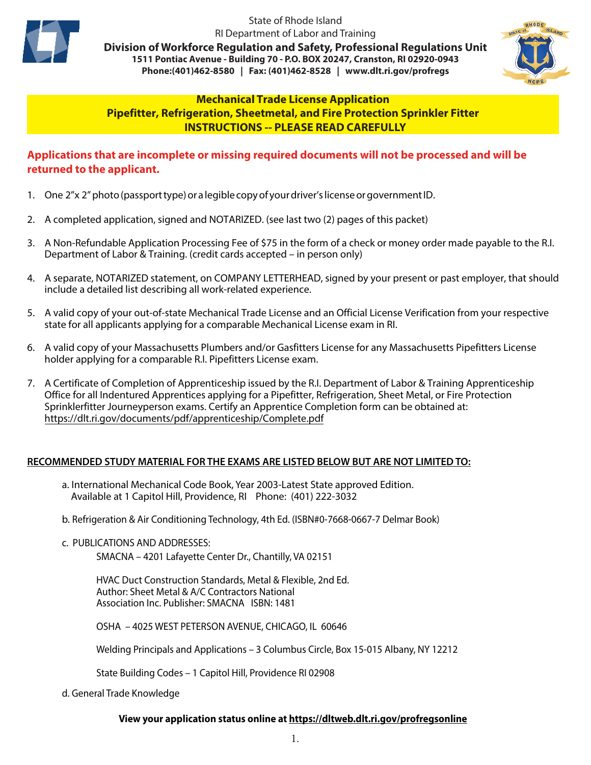

State of Rhode Island RI Department of Labor and Training

**Division of Workforce Regulation and Safety, Professional Regulations Unit 1511 Pontiac Avenue - Building 70 - P.O. BOX 20247, Cranston, RI 02920-0943 Phone:(401)462-8580 | Fax: (401)462-8528 | www.dlt.ri.gov/profregs**



#### **Mechanical Trade License Application Pipefitter, Refrigeration, Sheetmetal, and Fire Protection Sprinkler Fitter INSTRUCTIONS -- PLEASE READ CAREFULLY**

### **Applications that are incomplete or missing required documents will not be processed and will be returned to the applicant.**

- 1. One 2"x 2" photo (passport type) or a legible copy of your driver's license or government ID.
- 2. A completed application, signed and NOTARIZED. (see last two (2) pages of this packet)
- 3. A Non-Refundable Application Processing Fee of \$75 in the form of a check or money order made payable to the R.I. Department of Labor & Training. (credit cards accepted – in person only)
- 4. A separate, NOTARIZED statement, on COMPANY LETTERHEAD, signed by your present or past employer, that should include a detailed list describing all work-related experience.
- 5. A valid copy of your out-of-state Mechanical Trade License and an Official License Verification from your respective state for all applicants applying for a comparable Mechanical License exam in RI.
- 6. A valid copy of your Massachusetts Plumbers and/or Gasfitters License for any Massachusetts Pipefitters License holder applying for a comparable R.I. Pipefitters License exam.
- 7. A Certificate of Completion of Apprenticeship issued by the R.I. Department of Labor & Training Apprenticeship Office for all Indentured Apprentices applying for a Pipefitter, Refrigeration, Sheet Metal, or Fire Protection Sprinklerfitter Journeyperson exams. Certify an Apprentice Completion form can be obtained at: https://dlt.ri.gov/documents/pdf/apprenticeship/Complete.pdf

#### **RECOMMENDED STUDY MATERIAL FOR THE EXAMS ARE LISTED BELOW BUT ARE NOT LIMITED TO:**

- a. International Mechanical Code Book, Year 2003-Latest State approved Edition. Available at 1 Capitol Hill, Providence, RI Phone: (401) 222-3032
- b. Refrigeration & Air Conditioning Technology, 4th Ed. (ISBN#0-7668-0667-7 Delmar Book)
- c. PUBLICATIONS AND ADDRESSES:

SMACNA – 4201 Lafayette Center Dr., Chantilly, VA 02151

HVAC Duct Construction Standards, Metal & Flexible, 2nd Ed. Author: Sheet Metal & A/C Contractors National Association Inc. Publisher: SMACNA ISBN: 1481

OSHA – 4025 WEST PETERSON AVENUE, CHICAGO, IL 60646

Welding Principals and Applications – 3 Columbus Circle, Box 15-015 Albany, NY 12212

State Building Codes – 1 Capitol Hill, Providence RI 02908

d. General Trade Knowledge

#### **View your application status online at https://dltweb.dlt.ri.gov/profregsonline**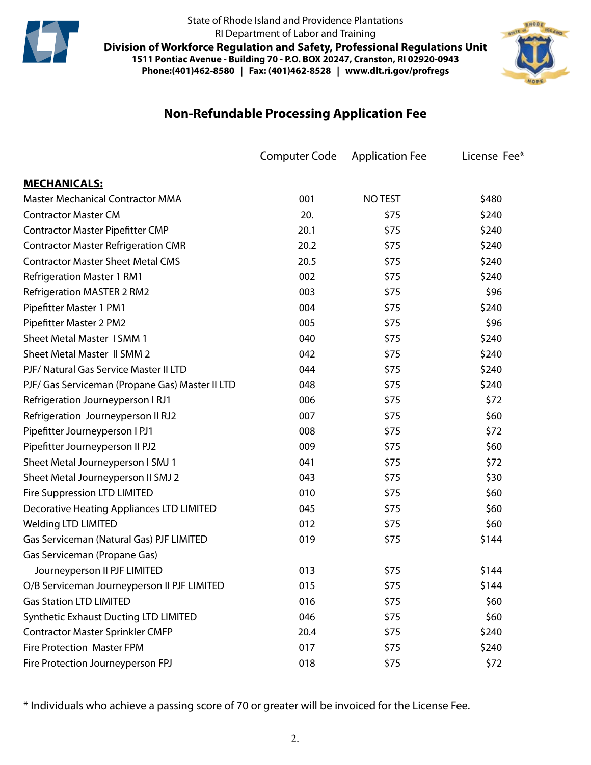

State of Rhode Island and Providence Plantations RI Department of Labor and Training

**Division of Workforce Regulation and Safety, Professional Regulations Unit 1511 Pontiac Avenue - Building 70 - P.O. BOX 20247, Cranston, RI 02920-0943 Phone:(401)462-8580 | Fax: (401)462-8528 | www.dlt.ri.gov/profregs**



# **Non-Refundable Processing Application Fee**

|                                                  | <b>Computer Code</b> | <b>Application Fee</b> | License Fee* |
|--------------------------------------------------|----------------------|------------------------|--------------|
| <b>MECHANICALS:</b>                              |                      |                        |              |
| <b>Master Mechanical Contractor MMA</b>          | 001                  | <b>NO TEST</b>         | \$480        |
| <b>Contractor Master CM</b>                      | 20.                  | \$75                   | \$240        |
| <b>Contractor Master Pipefitter CMP</b>          | 20.1                 | \$75                   | \$240        |
| <b>Contractor Master Refrigeration CMR</b>       | 20.2                 | \$75                   | \$240        |
| <b>Contractor Master Sheet Metal CMS</b>         | 20.5                 | \$75                   | \$240        |
| <b>Refrigeration Master 1 RM1</b>                | 002                  | \$75                   | \$240        |
| <b>Refrigeration MASTER 2 RM2</b>                | 003                  | \$75                   | \$96         |
| Pipefitter Master 1 PM1                          | 004                  | \$75                   | \$240        |
| Pipefitter Master 2 PM2                          | 005                  | \$75                   | \$96         |
| <b>Sheet Metal Master 1 SMM 1</b>                | 040                  | \$75                   | \$240        |
| Sheet Metal Master II SMM 2                      | 042                  | \$75                   | \$240        |
| PJF/ Natural Gas Service Master II LTD           | 044                  | \$75                   | \$240        |
| PJF/ Gas Serviceman (Propane Gas) Master II LTD  | 048                  | \$75                   | \$240        |
| Refrigeration Journeyperson I RJ1                | 006                  | \$75                   | \$72         |
| Refrigeration Journeyperson II RJ2               | 007                  | \$75                   | \$60         |
| Pipefitter Journeyperson I PJ1                   | 008                  | \$75                   | \$72         |
| Pipefitter Journeyperson II PJ2                  | 009                  | \$75                   | \$60         |
| Sheet Metal Journeyperson I SMJ 1                | 041                  | \$75                   | \$72         |
| Sheet Metal Journeyperson II SMJ 2               | 043                  | \$75                   | \$30         |
| Fire Suppression LTD LIMITED                     | 010                  | \$75                   | \$60         |
| <b>Decorative Heating Appliances LTD LIMITED</b> | 045                  | \$75                   | \$60         |
| <b>Welding LTD LIMITED</b>                       | 012                  | \$75                   | \$60         |
| Gas Serviceman (Natural Gas) PJF LIMITED         | 019                  | \$75                   | \$144        |
| Gas Serviceman (Propane Gas)                     |                      |                        |              |
| Journeyperson II PJF LIMITED                     | 013                  | \$75                   | \$144        |
| O/B Serviceman Journeyperson II PJF LIMITED      | 015                  | \$75                   | \$144        |
| <b>Gas Station LTD LIMITED</b>                   | 016                  | \$75                   | \$60         |
| <b>Synthetic Exhaust Ducting LTD LIMITED</b>     | 046                  | \$75                   | \$60         |
| <b>Contractor Master Sprinkler CMFP</b>          | 20.4                 | \$75                   | \$240        |
| <b>Fire Protection Master FPM</b>                | 017                  | \$75                   | \$240        |
| Fire Protection Journeyperson FPJ                | 018                  | \$75                   | \$72         |

\* Individuals who achieve a passing score of 70 or greater will be invoiced for the License Fee.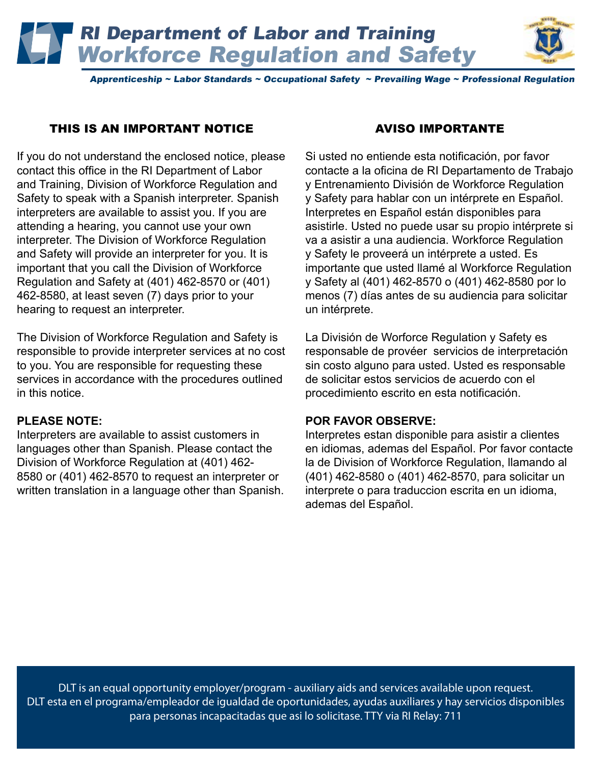RI Department of Labor and Training Workforce Regulation and Safety



Apprenticeship ~ Labor Standards ~ Occupational Safety ~ Prevailing Wage ~ Professional Regulation

## THIS IS AN IMPORTANT NOTICE

If you do not understand the enclosed notice, please contact this office in the RI Department of Labor and Training, Division of Workforce Regulation and Safety to speak with a Spanish interpreter. Spanish interpreters are available to assist you. If you are attending a hearing, you cannot use your own interpreter. The Division of Workforce Regulation and Safety will provide an interpreter for you. It is important that you call the Division of Workforce Regulation and Safety at (401) 462-8570 or (401) 462-8580, at least seven (7) days prior to your hearing to request an interpreter.

The Division of Workforce Regulation and Safety is responsible to provide interpreter services at no cost to you. You are responsible for requesting these services in accordance with the procedures outlined in this notice.

## **PLEASE NOTE:**

Interpreters are available to assist customers in languages other than Spanish. Please contact the Division of Workforce Regulation at (401) 462- 8580 or (401) 462-8570 to request an interpreter or written translation in a language other than Spanish.

## AVISO IMPORTANTE

Si usted no entiende esta notificación, por favor contacte a la oficina de RI Departamento de Trabajo y Entrenamiento División de Workforce Regulation y Safety para hablar con un intérprete en Español. Interpretes en Español están disponibles para asistirle. Usted no puede usar su propio intérprete si va a asistir a una audiencia. Workforce Regulation y Safety le proveerá un intérprete a usted. Es importante que usted llamé al Workforce Regulation y Safety al (401) 462-8570 o (401) 462-8580 por lo menos (7) días antes de su audiencia para solicitar un intérprete.

La División de Worforce Regulation y Safety es responsable de provéer servicios de interpretación sin costo alguno para usted. Usted es responsable de solicitar estos servicios de acuerdo con el procedimiento escrito en esta notificación.

#### **POR FAVOR OBSERVE:**

Interpretes estan disponible para asistir a clientes en idiomas, ademas del Español. Por favor contacte la de Division of Workforce Regulation, llamando al (401) 462-8580 o (401) 462-8570, para solicitar un interprete o para traduccion escrita en un idioma, ademas del Español.

DLT is an equal opportunity employer/program - auxiliary aids and services available upon request. DLT esta en el programa/empleador de igualdad de oportunidades, ayudas auxiliares y hay servicios disponibles para personas incapacitadas que asi lo solicitase. TTY via RI Relay: 711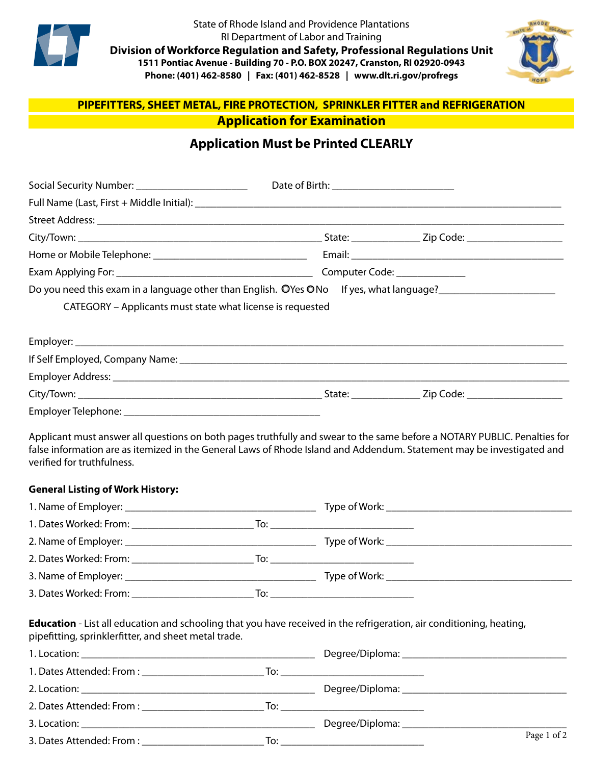

State of Rhode Island and Providence Plantations RI Department of Labor and Training **Division of Workforce Regulation and Safety, Professional Regulations Unit 1511 Pontiac Avenue - Building 70 - P.O. BOX 20247, Cranston, RI 02920-0943 Phone: (401) 462-8580 | Fax: (401) 462-8528 | www.dlt.ri.gov/profregs**



# **PIPEFITTERS, SHEET METAL, FIRE PROTECTION, SPRINKLER FITTER and REFRIGERATION Application for Examination**

# **Application Must be Printed CLEARLY**

| Social Security Number: __________________________                                                                                                                                                                                                                                               |                                       |  |
|--------------------------------------------------------------------------------------------------------------------------------------------------------------------------------------------------------------------------------------------------------------------------------------------------|---------------------------------------|--|
|                                                                                                                                                                                                                                                                                                  |                                       |  |
|                                                                                                                                                                                                                                                                                                  |                                       |  |
|                                                                                                                                                                                                                                                                                                  |                                       |  |
|                                                                                                                                                                                                                                                                                                  |                                       |  |
|                                                                                                                                                                                                                                                                                                  |                                       |  |
| Do you need this exam in a language other than English. OYes ONo If yes, what language?<br>Show this exam in a language other than English. OYes ONo If yes, what language?<br>Interact this example and the set of the set of the<br>CATEGORY - Applicants must state what license is requested |                                       |  |
|                                                                                                                                                                                                                                                                                                  |                                       |  |
|                                                                                                                                                                                                                                                                                                  |                                       |  |
|                                                                                                                                                                                                                                                                                                  |                                       |  |
|                                                                                                                                                                                                                                                                                                  |                                       |  |
|                                                                                                                                                                                                                                                                                                  |                                       |  |
| Applicant must answer all questions on both pages truthfully and swear to the same before a NOTARY PUBLIC. Penalties for<br>false information are as itemized in the General Laws of Rhode Island and Addendum. Statement may be investigated and<br>verified for truthfulness.                  |                                       |  |
| <b>General Listing of Work History:</b>                                                                                                                                                                                                                                                          |                                       |  |
|                                                                                                                                                                                                                                                                                                  |                                       |  |
|                                                                                                                                                                                                                                                                                                  |                                       |  |
|                                                                                                                                                                                                                                                                                                  |                                       |  |
|                                                                                                                                                                                                                                                                                                  | $\overline{a}$ To: $\overline{a}$ To: |  |

3. Name of Employer: \_\_\_\_\_\_\_\_\_\_\_\_\_\_\_\_\_\_\_\_\_\_\_\_\_\_\_\_\_\_\_\_\_\_\_\_ Type of Work: \_\_\_\_\_\_\_\_\_\_\_\_\_\_\_\_\_\_\_\_\_\_\_\_\_\_\_\_\_\_\_\_\_\_\_ 3. Dates Worked: From: \_\_\_\_\_\_\_\_\_\_\_\_\_\_\_\_\_\_\_\_\_\_\_ To: \_\_\_\_\_\_\_\_\_\_\_\_\_\_\_\_\_\_\_\_\_\_\_\_\_\_\_

**Education** - List all education and schooling that you have received in the refrigeration, air conditioning, heating, pipefitting, sprinklerfitter, and sheet metal trade.

|  | Page 1 of 2 |
|--|-------------|